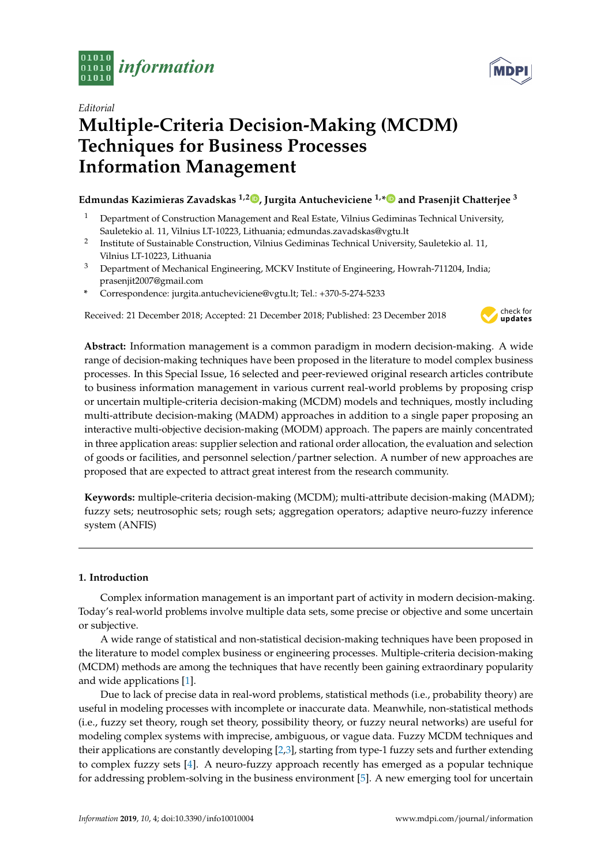



# *Editorial* **Multiple-Criteria Decision-Making (MCDM) Techniques for Business Processes Information Management**

## **Edmundas Kazimieras Zavadskas 1,2 [,](https://orcid.org/0000-0002-3201-949X) Jurgita Antucheviciene 1,[\\*](https://orcid.org/0000-0002-1734-3216) and Prasenjit Chatterjee <sup>3</sup>**

- <sup>1</sup> Department of Construction Management and Real Estate, Vilnius Gediminas Technical University, Sauletekio al. 11, Vilnius LT-10223, Lithuania; edmundas.zavadskas@vgtu.lt
- 2 Institute of Sustainable Construction, Vilnius Gediminas Technical University, Sauletekio al. 11, Vilnius LT-10223, Lithuania
- <sup>3</sup> Department of Mechanical Engineering, MCKV Institute of Engineering, Howrah-711204, India; prasenjit2007@gmail.com
- **\*** Correspondence: jurgita.antucheviciene@vgtu.lt; Tel.: +370-5-274-5233

Received: 21 December 2018; Accepted: 21 December 2018; Published: 23 December 2018



**Abstract:** Information management is a common paradigm in modern decision-making. A wide range of decision-making techniques have been proposed in the literature to model complex business processes. In this Special Issue, 16 selected and peer-reviewed original research articles contribute to business information management in various current real-world problems by proposing crisp or uncertain multiple-criteria decision-making (MCDM) models and techniques, mostly including multi-attribute decision-making (MADM) approaches in addition to a single paper proposing an interactive multi-objective decision-making (MODM) approach. The papers are mainly concentrated in three application areas: supplier selection and rational order allocation, the evaluation and selection of goods or facilities, and personnel selection/partner selection. A number of new approaches are proposed that are expected to attract great interest from the research community.

**Keywords:** multiple-criteria decision-making (MCDM); multi-attribute decision-making (MADM); fuzzy sets; neutrosophic sets; rough sets; aggregation operators; adaptive neuro-fuzzy inference system (ANFIS)

## **1. Introduction**

Complex information management is an important part of activity in modern decision-making. Today's real-world problems involve multiple data sets, some precise or objective and some uncertain or subjective.

A wide range of statistical and non-statistical decision-making techniques have been proposed in the literature to model complex business or engineering processes. Multiple-criteria decision-making (MCDM) methods are among the techniques that have recently been gaining extraordinary popularity and wide applications [\[1\]](#page-4-0).

Due to lack of precise data in real-word problems, statistical methods (i.e., probability theory) are useful in modeling processes with incomplete or inaccurate data. Meanwhile, non-statistical methods (i.e., fuzzy set theory, rough set theory, possibility theory, or fuzzy neural networks) are useful for modeling complex systems with imprecise, ambiguous, or vague data. Fuzzy MCDM techniques and their applications are constantly developing [\[2,](#page-4-1)[3\]](#page-4-2), starting from type-1 fuzzy sets and further extending to complex fuzzy sets [\[4\]](#page-4-3). A neuro-fuzzy approach recently has emerged as a popular technique for addressing problem-solving in the business environment [\[5\]](#page-4-4). A new emerging tool for uncertain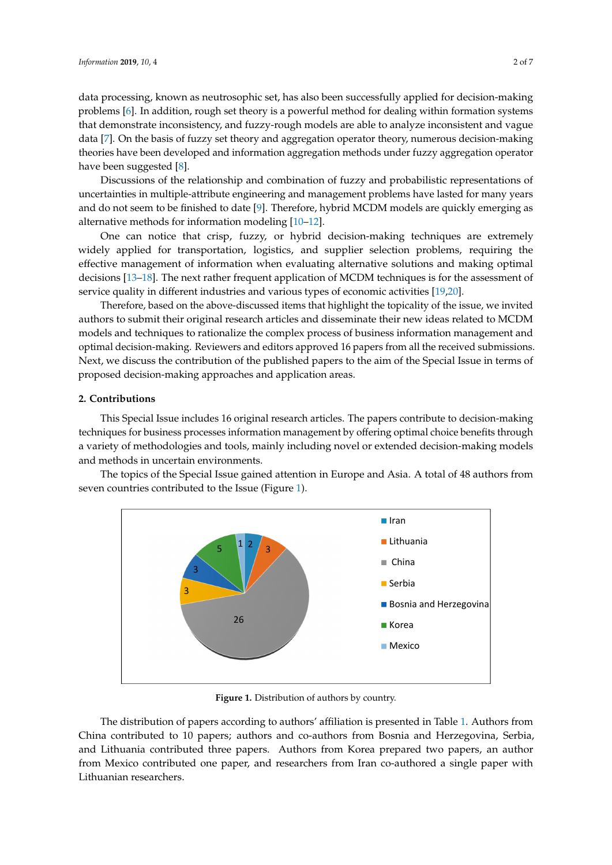data processing, known as neutrosophic set, has also been successfully applied for decision-making data processing, known as neutrosophic set, has also been successfully applied for decision-[ma](#page-4-5)king<br>problems [6]. In addition, rough set theory is a powerful method for dealing within formation systems that demonstrate inconsistency, and fuzzy-rough models are able to analyze inconsistent and vague that demonstrate inco[nsi](#page-4-6)stency, and fuzzy-rough models are able to analyze inconsistent and vague<br>data [7]. On the basis of fuzzy set theory and aggregation operator theory, numerous decision-making theories have been developed and informat[io](#page-4-7)n aggregation methods under fuzzy aggregation operator<br>have been suggested [8]. have been suggested [8].

Discussions of the relationship and combination of fuzzy and probabilistic representations of uncertainties in multiple-attribute engineering and management problems have lasted for many years and do not seem to be finished to date [9]. Therefore, hybrid MCDM models are quickly emerging as alternative methods for information modeling [10–12]. Discussions of the relationship and combinati[on](#page-5-1) of fuzzy and probabilistic representations of uncertainties in multiple-attribute engineering and management problems have lasted for many years and do not seem to be finish

One can notice that crisp, fuzzy, or hybrid decision-making techniques are extremely widely applied for transportation, logistics, and supplier selection problems, requiring the effective management of information when evaluating alternative solutions and making optimal decisions [13–18]. The next rather frequent application of MCDM techniques is for the assessment of service quality in different industries and various types of economic activities [19,20]. One can notice that crisp, fuzzy, or hybrid decision-making techniques are extremely widely applied for transportation, logistics, and supplier selection problems, requiring t[he](#page-5-3) effectivemanagement of information when eva

Therefore, based on the above-discussed items that highlight the topicality of the issue, we invited authors to submit their original research articles and disseminate their new ideas related to MCDM models and techniques to rationalize the complex process of business information management and Therefore, based on the above-discussed items that highlight the topicality of the issue, we invited<br>authors to submit their original research articles and disseminate their new ideas related to MCDM<br>models and techniques Next, we discuss the contribution of the published papers to the aim of the Special Issue in terms of<br>proposed decision-making approaches and application areas. proposed decision-making approaches and application areas.

# **2. Contributions 2. Contributions**

This Special Issue includes 16 original research articles. The papers contribute to decision-making This Special Issue includes 16 original research articles. The papers contribute to decisiontechniques for business processes information management by offering optimal choice benefits through a variety of methodologies and tools, mainly including novel or extended decision-making models and methods in uncertain environments. making models and methods in uncertain environments.

<span id="page-1-0"></span>The topics of the Special Issue gained attention in Europe and Asia. A total of 48 authors from The topics of the Special Issue gained attention in Europe and Asia. A total of 48 authors from seven countries contributed to the Issue (Figure 1). seven countries contributed to the Issue (Figure [1](#page-1-0)).



**Figure 1.** Distribution of authors by country. **Figure 1.** Distribution of authors by country.

The distribution of papers according to authors' affiliation is presented in Table [1.](#page-2-0) Authors from The distribution of papers according to authors' affiliation is presented in Table 1. Authors from China contributed to 10 papers; authors and co-authors from Bosnia and Herzegovina, Serbia, and Lithuania contributed three papers. Authors from Korea prepared two papers, an author from Mexico contributed one paper, and researchers from Iran co-authored a single paper with Lithuanian researchers.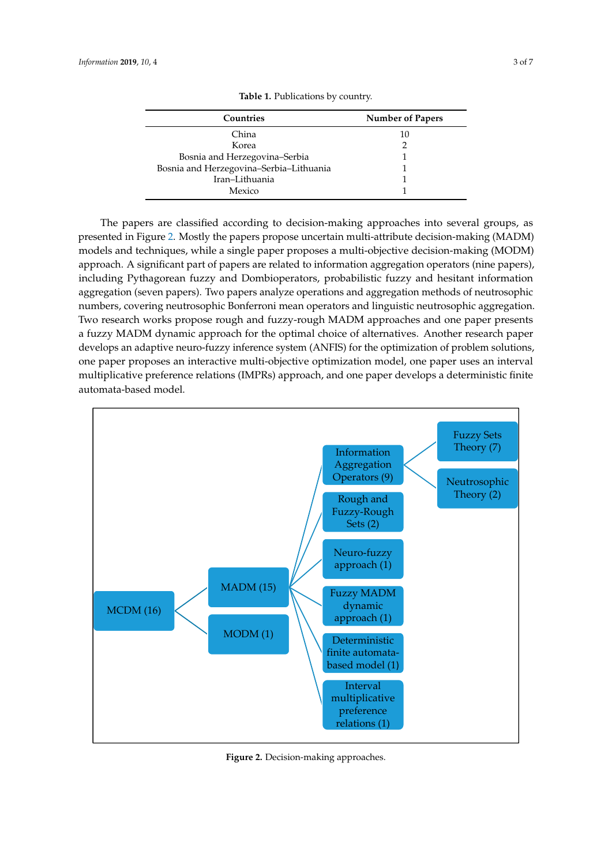<span id="page-2-0"></span>

| Countries                               | <b>Number of Papers</b> |
|-----------------------------------------|-------------------------|
| China                                   | 10                      |
| Korea                                   |                         |
| Bosnia and Herzegovina-Serbia           |                         |
| Bosnia and Herzegovina-Serbia-Lithuania |                         |
| Iran-Lithuania                          |                         |
| Mexico                                  |                         |

**Table 1.** Publications by country. **Table 1.** Publications by country.

The papers are classified according to decision-making approaches into several groups, as presented in Figure 2. Mostly the papers propose uncertain multi-attribute decision-making (MADM) models and techniques, while a single paper proposes a multi-objective decision-making (MODM) approach. A significant part of papers are related to information aggregation operators (nine papers), including Pythagorean fuzzy and Dombioperators, probabilistic fuzzy and hesitant information aggregation (seven papers). Two papers analyze operations and aggregation methods of neutrosophic aggregation (seven papers). Two papers analyze operations and aggregation methods of neutrosophic<br>numbers, covering neutrosophic Bonferroni mean operators and linguistic neutrosophic aggregation. Two research works propose rough and fuzzy-rough MADM approaches and one paper presents Two research works propose rough and fuzzy-rough MADM approaches and one paper presents<br>a fuzzy MADM dynamic approach for the optimal choice of alternatives. Another research paper develops an adaptive neuro-fuzzy inference system (ANFIS) for the optimization of problem solutions, one paper proposes an interactive multi-objective optimization model, one paper uses an interval develops an adaptive neuro-fuzzy inference system (ANFIS) for the optimization of problem solutions,<br>one paper proposes an interactive multi-objective optimization model, one paper uses an interval<br>multiplicative preferenc automata-based model. paper develops a deterministic finite automata-based model. The papers are classified according to decision-making approaches into several groups, as<br>presented in Figure [2.](#page-2-1) Mostly the papers propose uncertain multi-attribute decision-making (MADM)<br>models and techniques, while a sin

<span id="page-2-1"></span>

**Figure 2.** Decision-making approaches. **Figure 2.** Decision-making approaches.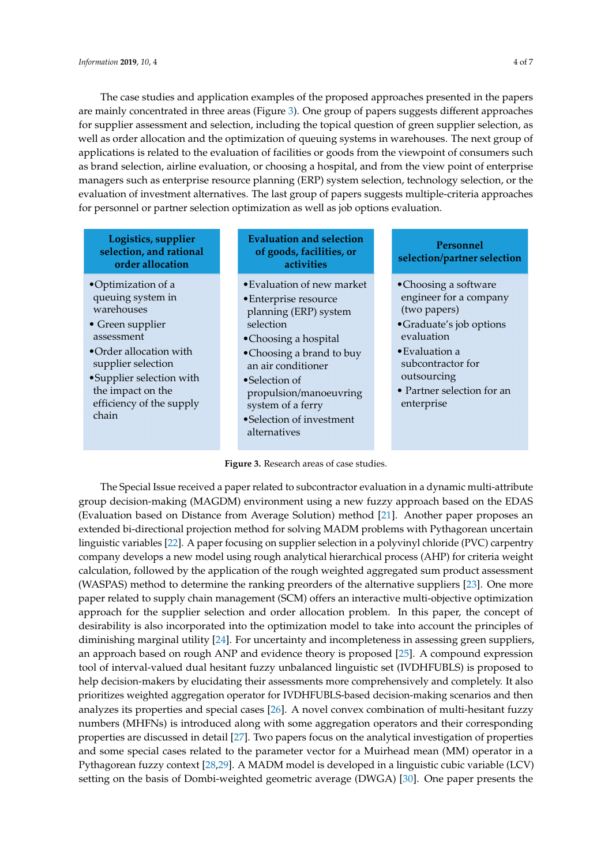The case studies and application examples of the proposed approaches presented in the papers are mainly concentrated in three areas (Figure [3\)](#page-3-0). One group of papers suggests different approaches for supplier assessment and selection, including the topical question of green supplier selection, as for supplier assessment and selection, including the topical question of green supplier selection, as well as order allocation and the optimization of queuing systems in warehouses. The next group of well as order allocation and the optimization of queuing systems in warehouses. The next group of applications is related to the evaluation of facilities or goods from the viewpoint of consumers such applications is related to the evaluation of facilities or goods from the viewpoint of consumers such as brand selection, airline evaluation, or choosing a hospital, and from the view point of enterprise as brand selection, airline evaluation, or choosing a hospital, and from the view point of enterprise managers such as enterprise resource planning (ERP) system selection, technology selection, or the managers such as enterprise resource planning (ERP) system selection, technology selection, or the evaluation of investment alternatives. The last group of papers suggests multiple-criteria approaches evaluation of investment alternatives. The last group of papers suggests multiple-criteria approaches for personnel or partner selection optimization as well as job options evaluation. for personnel or partner selection optimization as well as job options evaluation.

## <span id="page-3-0"></span>**Logistics, supplier selection, and rational order allocation**

- •Optimization of a queuing system in warehouses
- Green supplier assessment
- •Order allocation with supplier selection
- •Supplier selection with the impact on the efficiency of the supply chain

### **Evaluation and selection of goods, facilities, or activities**

- •Evaluation of new market
- •Enterprise resource planning (ERP) system selection
- •Choosing a hospital
- •Choosing a brand to buy an air conditioner
- •Selection of propulsion/manoeuvring system of a ferry
- •Selection of investment alternatives

## **Personnel selection/partner selection**

- •Choosing a software engineer for a company (two papers)
- •Graduate's job options evaluation
- •Evaluation a subcontractor for outsourcing
- Partner selection for an enterprise
- **Figure 3.** Research areas of case studies. **Figure 3.** Research areas of case studies.

The Special Issue received a paper related to subcontractor evaluation in a dynamic multi-The Special Issue received a paper related to subcontractor evaluation in a dynamic multi-attribute group decision-making (MAGDM) environment using a new fuzzy approach based on the EDAS (Evaluation based on Distance from Average Solution) method [\[21\]](#page-5-7). Another paper proposes an extended bi-directional projection method for solving MADM problems with Pythagorean uncertain linguistic variables [\[22\]](#page-5-8). A paper focusing on supplier selection in a polyvinyl chloride (PVC) carpentry company develops a new model using rough analytical hierarchical process (AHP) for criteria weight calculation, followed by the application of the rough weighted aggregated sum product assessment (WASPAS) method to determine the ranking preorders of the alternative suppliers [\[23\]](#page-5-9). One more paper related to supply chain management (SCM) offers an interactive multi-objective optimization approach for the supplier selection and order allocation problem. In this paper, the concept of desirability is also incorporated into the optimization model to take into account the principles of diminishing marginal utility [\[24\]](#page-5-10). For uncertainty and incompleteness in assessing green suppliers, an approach based on rough ANP and evidence theory is proposed [\[25\]](#page-5-11). A compound expression tool of interval-valued dual hesitant fuzzy unbalanced linguistic set (IVDHFUBLS) is proposed to help decision-makers by elucidating their assessments more comprehensively and completely. It also prioritizes weighted aggregation operator for IVDHFUBLS-based decision-making scenarios and then analyzes its properties and special cases [\[26\]](#page-5-12). A novel convex combination of multi-hesitant fuzzy numbers (MHFNs) is introduced along with some aggregation operators and their corresponding properties are discussed in detail [\[27\]](#page-5-13). Two papers focus on the analytical investigation of properties and some special cases related to the parameter vector for a Muirhead mean (MM) operator in a Pythagorean fuzzy context [\[28](#page-5-14)[,29\]](#page-5-15). A MADM model is developed in a linguistic cubic variable (LCV) setting on the basis of Dombi-weighted geometric average (DWGA) [\[30\]](#page-5-16). One paper presents the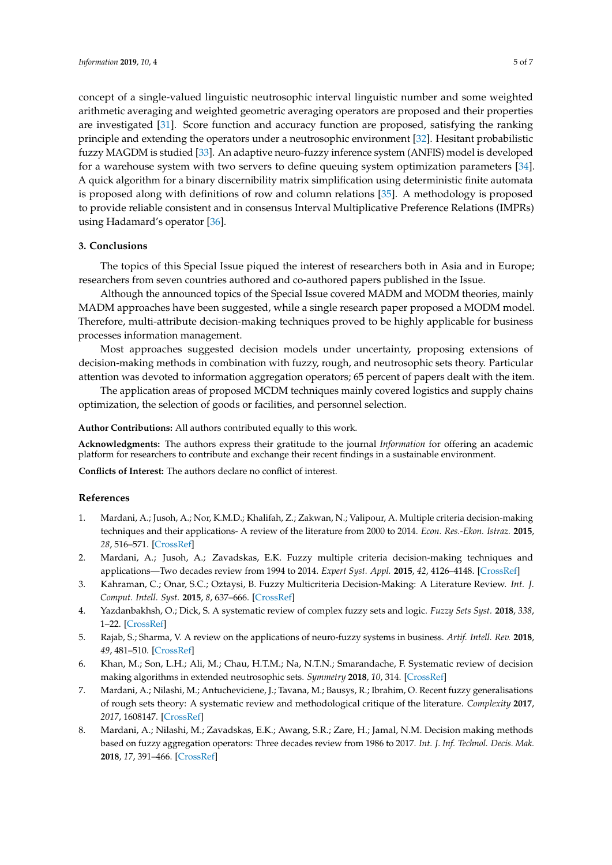concept of a single-valued linguistic neutrosophic interval linguistic number and some weighted arithmetic averaging and weighted geometric averaging operators are proposed and their properties are investigated [\[31\]](#page-6-0). Score function and accuracy function are proposed, satisfying the ranking principle and extending the operators under a neutrosophic environment [\[32\]](#page-6-1). Hesitant probabilistic fuzzy MAGDM is studied [\[33\]](#page-6-2). An adaptive neuro-fuzzy inference system (ANFIS) model is developed for a warehouse system with two servers to define queuing system optimization parameters [\[34\]](#page-6-3). A quick algorithm for a binary discernibility matrix simplification using deterministic finite automata is proposed along with definitions of row and column relations [\[35\]](#page-6-4). A methodology is proposed to provide reliable consistent and in consensus Interval Multiplicative Preference Relations (IMPRs) using Hadamard's operator [\[36\]](#page-6-5).

#### **3. Conclusions**

The topics of this Special Issue piqued the interest of researchers both in Asia and in Europe; researchers from seven countries authored and co-authored papers published in the Issue.

Although the announced topics of the Special Issue covered MADM and MODM theories, mainly MADM approaches have been suggested, while a single research paper proposed a MODM model. Therefore, multi-attribute decision-making techniques proved to be highly applicable for business processes information management.

Most approaches suggested decision models under uncertainty, proposing extensions of decision-making methods in combination with fuzzy, rough, and neutrosophic sets theory. Particular attention was devoted to information aggregation operators; 65 percent of papers dealt with the item.

The application areas of proposed MCDM techniques mainly covered logistics and supply chains optimization, the selection of goods or facilities, and personnel selection.

#### **Author Contributions:** All authors contributed equally to this work.

**Acknowledgments:** The authors express their gratitude to the journal *Information* for offering an academic platform for researchers to contribute and exchange their recent findings in a sustainable environment.

**Conflicts of Interest:** The authors declare no conflict of interest.

#### **References**

- <span id="page-4-0"></span>1. Mardani, A.; Jusoh, A.; Nor, K.M.D.; Khalifah, Z.; Zakwan, N.; Valipour, A. Multiple criteria decision-making techniques and their applications- A review of the literature from 2000 to 2014. *Econ. Res.-Ekon. Istraz.* **2015**, *28*, 516–571. [\[CrossRef\]](http://dx.doi.org/10.1080/1331677X.2015.1075139)
- <span id="page-4-1"></span>2. Mardani, A.; Jusoh, A.; Zavadskas, E.K. Fuzzy multiple criteria decision-making techniques and applications—Two decades review from 1994 to 2014. *Expert Syst. Appl.* **2015**, *42*, 4126–4148. [\[CrossRef\]](http://dx.doi.org/10.1016/j.eswa.2015.01.003)
- <span id="page-4-2"></span>3. Kahraman, C.; Onar, S.C.; Oztaysi, B. Fuzzy Multicriteria Decision-Making: A Literature Review. *Int. J. Comput. Intell. Syst.* **2015**, *8*, 637–666. [\[CrossRef\]](http://dx.doi.org/10.1080/18756891.2015.1046325)
- <span id="page-4-3"></span>4. Yazdanbakhsh, O.; Dick, S. A systematic review of complex fuzzy sets and logic. *Fuzzy Sets Syst.* **2018**, *338*, 1–22. [\[CrossRef\]](http://dx.doi.org/10.1016/j.fss.2017.01.010)
- <span id="page-4-4"></span>5. Rajab, S.; Sharma, V. A review on the applications of neuro-fuzzy systems in business. *Artif. Intell. Rev.* **2018**, *49*, 481–510. [\[CrossRef\]](http://dx.doi.org/10.1007/s10462-016-9536-0)
- <span id="page-4-5"></span>6. Khan, M.; Son, L.H.; Ali, M.; Chau, H.T.M.; Na, N.T.N.; Smarandache, F. Systematic review of decision making algorithms in extended neutrosophic sets. *Symmetry* **2018**, *10*, 314. [\[CrossRef\]](http://dx.doi.org/10.3390/sym10080314)
- <span id="page-4-6"></span>7. Mardani, A.; Nilashi, M.; Antucheviciene, J.; Tavana, M.; Bausys, R.; Ibrahim, O. Recent fuzzy generalisations of rough sets theory: A systematic review and methodological critique of the literature. *Complexity* **2017**, *2017*, 1608147. [\[CrossRef\]](http://dx.doi.org/10.1155/2017/1608147)
- <span id="page-4-7"></span>8. Mardani, A.; Nilashi, M.; Zavadskas, E.K.; Awang, S.R.; Zare, H.; Jamal, N.M. Decision making methods based on fuzzy aggregation operators: Three decades review from 1986 to 2017. *Int. J. Inf. Technol. Decis. Mak.* **2018**, *17*, 391–466. [\[CrossRef\]](http://dx.doi.org/10.1142/S021962201830001X)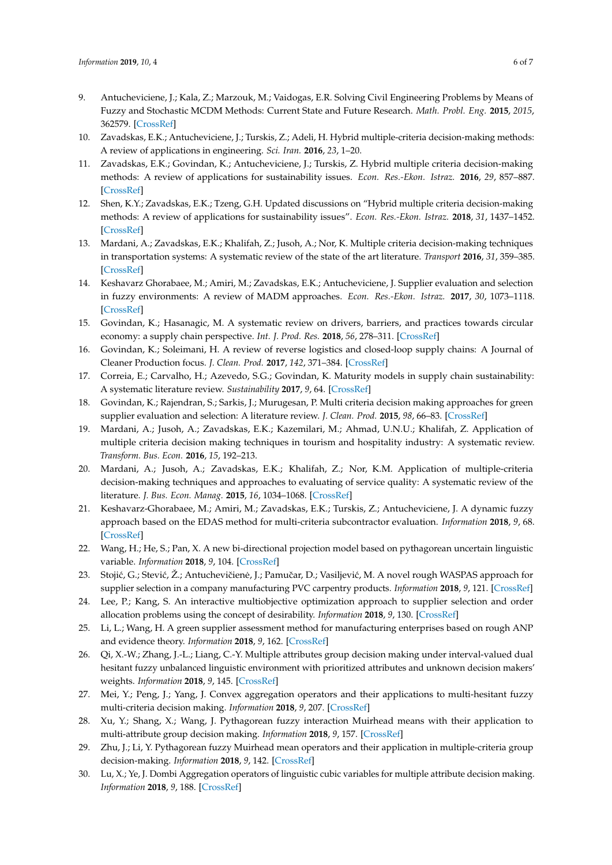- <span id="page-5-0"></span>9. Antucheviciene, J.; Kala, Z.; Marzouk, M.; Vaidogas, E.R. Solving Civil Engineering Problems by Means of Fuzzy and Stochastic MCDM Methods: Current State and Future Research. *Math. Probl. Eng.* **2015**, *2015*, 362579. [\[CrossRef\]](http://dx.doi.org/10.1155/2015/362579)
- <span id="page-5-1"></span>10. Zavadskas, E.K.; Antucheviciene, J.; Turskis, Z.; Adeli, H. Hybrid multiple-criteria decision-making methods: A review of applications in engineering. *Sci. Iran.* **2016**, *23*, 1–20.
- 11. Zavadskas, E.K.; Govindan, K.; Antucheviciene, J.; Turskis, Z. Hybrid multiple criteria decision-making methods: A review of applications for sustainability issues. *Econ. Res.-Ekon. Istraz.* **2016**, *29*, 857–887. [\[CrossRef\]](http://dx.doi.org/10.1080/1331677X.2016.1237302)
- <span id="page-5-2"></span>12. Shen, K.Y.; Zavadskas, E.K.; Tzeng, G.H. Updated discussions on "Hybrid multiple criteria decision-making methods: A review of applications for sustainability issues". *Econ. Res.-Ekon. Istraz.* **2018**, *31*, 1437–1452. [\[CrossRef\]](http://dx.doi.org/10.1080/1331677X.2018.1483836)
- <span id="page-5-3"></span>13. Mardani, A.; Zavadskas, E.K.; Khalifah, Z.; Jusoh, A.; Nor, K. Multiple criteria decision-making techniques in transportation systems: A systematic review of the state of the art literature. *Transport* **2016**, *31*, 359–385. [\[CrossRef\]](http://dx.doi.org/10.3846/16484142.2015.1121517)
- 14. Keshavarz Ghorabaee, M.; Amiri, M.; Zavadskas, E.K.; Antucheviciene, J. Supplier evaluation and selection in fuzzy environments: A review of MADM approaches. *Econ. Res.-Ekon. Istraz.* **2017**, *30*, 1073–1118. [\[CrossRef\]](http://dx.doi.org/10.1080/1331677X.2017.1314828)
- 15. Govindan, K.; Hasanagic, M. A systematic review on drivers, barriers, and practices towards circular economy: a supply chain perspective. *Int. J. Prod. Res.* **2018**, *56*, 278–311. [\[CrossRef\]](http://dx.doi.org/10.1080/00207543.2017.1402141)
- 16. Govindan, K.; Soleimani, H. A review of reverse logistics and closed-loop supply chains: A Journal of Cleaner Production focus. *J. Clean. Prod.* **2017**, *142*, 371–384. [\[CrossRef\]](http://dx.doi.org/10.1016/j.jclepro.2016.03.126)
- 17. Correia, E.; Carvalho, H.; Azevedo, S.G.; Govindan, K. Maturity models in supply chain sustainability: A systematic literature review. *Sustainability* **2017**, *9*, 64. [\[CrossRef\]](http://dx.doi.org/10.3390/su9010064)
- <span id="page-5-4"></span>18. Govindan, K.; Rajendran, S.; Sarkis, J.; Murugesan, P. Multi criteria decision making approaches for green supplier evaluation and selection: A literature review. *J. Clean. Prod.* **2015**, *98*, 66–83. [\[CrossRef\]](http://dx.doi.org/10.1016/j.jclepro.2013.06.046)
- <span id="page-5-5"></span>19. Mardani, A.; Jusoh, A.; Zavadskas, E.K.; Kazemilari, M.; Ahmad, U.N.U.; Khalifah, Z. Application of multiple criteria decision making techniques in tourism and hospitality industry: A systematic review. *Transform. Bus. Econ.* **2016**, *15*, 192–213.
- <span id="page-5-6"></span>20. Mardani, A.; Jusoh, A.; Zavadskas, E.K.; Khalifah, Z.; Nor, K.M. Application of multiple-criteria decision-making techniques and approaches to evaluating of service quality: A systematic review of the literature. *J. Bus. Econ. Manag.* **2015**, *16*, 1034–1068. [\[CrossRef\]](http://dx.doi.org/10.3846/16111699.2015.1095233)
- <span id="page-5-7"></span>21. Keshavarz-Ghorabaee, M.; Amiri, M.; Zavadskas, E.K.; Turskis, Z.; Antucheviciene, J. A dynamic fuzzy approach based on the EDAS method for multi-criteria subcontractor evaluation. *Information* **2018**, *9*, 68. [\[CrossRef\]](http://dx.doi.org/10.3390/info9030068)
- <span id="page-5-8"></span>22. Wang, H.; He, S.; Pan, X. A new bi-directional projection model based on pythagorean uncertain linguistic variable. *Information* **2018**, *9*, 104. [\[CrossRef\]](http://dx.doi.org/10.3390/info9050104)
- <span id="page-5-9"></span>23. Stojić, G.; Stević, Ž.; Antuchevičienė, J.; Pamučar, D.; Vasiljević, M. A novel rough WASPAS approach for supplier selection in a company manufacturing PVC carpentry products. *Information* **2018**, *9*, 121. [\[CrossRef\]](http://dx.doi.org/10.3390/info9050121)
- <span id="page-5-10"></span>24. Lee, P.; Kang, S. An interactive multiobjective optimization approach to supplier selection and order allocation problems using the concept of desirability. *Information* **2018**, *9*, 130. [\[CrossRef\]](http://dx.doi.org/10.3390/info9060130)
- <span id="page-5-11"></span>25. Li, L.; Wang, H. A green supplier assessment method for manufacturing enterprises based on rough ANP and evidence theory. *Information* **2018**, *9*, 162. [\[CrossRef\]](http://dx.doi.org/10.3390/info9070162)
- <span id="page-5-12"></span>26. Qi, X.-W.; Zhang, J.-L.; Liang, C.-Y. Multiple attributes group decision making under interval-valued dual hesitant fuzzy unbalanced linguistic environment with prioritized attributes and unknown decision makers' weights. *Information* **2018**, *9*, 145. [\[CrossRef\]](http://dx.doi.org/10.3390/info9060145)
- <span id="page-5-13"></span>27. Mei, Y.; Peng, J.; Yang, J. Convex aggregation operators and their applications to multi-hesitant fuzzy multi-criteria decision making. *Information* **2018**, *9*, 207. [\[CrossRef\]](http://dx.doi.org/10.3390/info9090207)
- <span id="page-5-14"></span>28. Xu, Y.; Shang, X.; Wang, J. Pythagorean fuzzy interaction Muirhead means with their application to multi-attribute group decision making. *Information* **2018**, *9*, 157. [\[CrossRef\]](http://dx.doi.org/10.3390/info9070157)
- <span id="page-5-15"></span>29. Zhu, J.; Li, Y. Pythagorean fuzzy Muirhead mean operators and their application in multiple-criteria group decision-making. *Information* **2018**, *9*, 142. [\[CrossRef\]](http://dx.doi.org/10.3390/info9060142)
- <span id="page-5-16"></span>30. Lu, X.; Ye, J. Dombi Aggregation operators of linguistic cubic variables for multiple attribute decision making. *Information* **2018**, *9*, 188. [\[CrossRef\]](http://dx.doi.org/10.3390/info9080188)